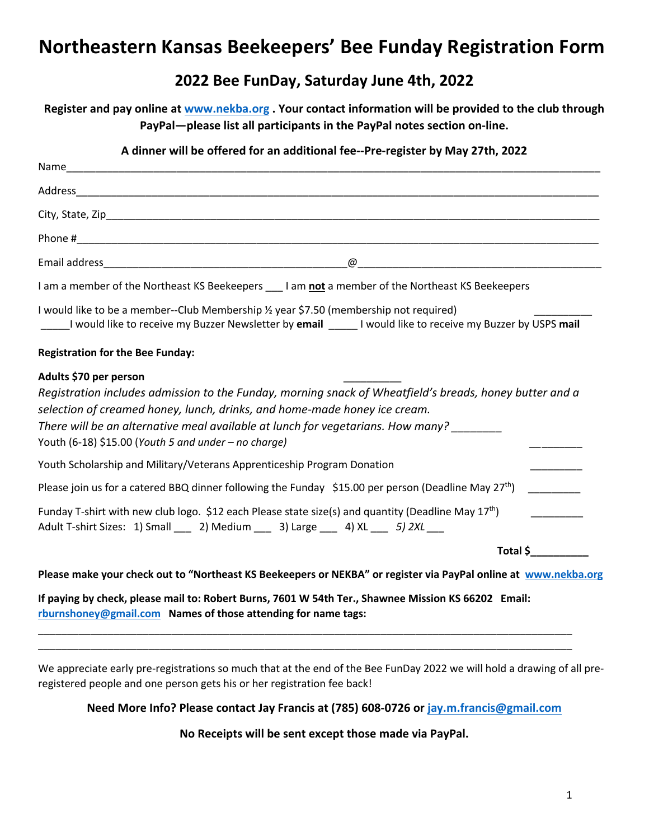# **Northeastern Kansas Beekeepers' Bee Funday Registration Form**

### **2022 Bee FunDay, Saturday June 4th, 2022**

**Register and pay online at www.nekba.org . Your contact information will be provided to the club through PayPal—please list all participants in the PayPal notes section on-line.**

| A dinner will be offered for an additional fee--Pre-register by May 27th, 2022                                                                                                                                                                                                                                                                            |          |
|-----------------------------------------------------------------------------------------------------------------------------------------------------------------------------------------------------------------------------------------------------------------------------------------------------------------------------------------------------------|----------|
|                                                                                                                                                                                                                                                                                                                                                           |          |
|                                                                                                                                                                                                                                                                                                                                                           |          |
|                                                                                                                                                                                                                                                                                                                                                           |          |
|                                                                                                                                                                                                                                                                                                                                                           |          |
|                                                                                                                                                                                                                                                                                                                                                           |          |
| I am a member of the Northeast KS Beekeepers ___ I am not a member of the Northeast KS Beekeepers                                                                                                                                                                                                                                                         |          |
| I would like to be a member--Club Membership 1/2 year \$7.50 (membership not required)<br>I would like to receive my Buzzer Newsletter by email _____I would like to receive my Buzzer by USPS mail                                                                                                                                                       |          |
| <b>Registration for the Bee Funday:</b>                                                                                                                                                                                                                                                                                                                   |          |
| Adults \$70 per person<br>Registration includes admission to the Funday, morning snack of Wheatfield's breads, honey butter and a<br>selection of creamed honey, lunch, drinks, and home-made honey ice cream.<br>There will be an alternative meal available at lunch for vegetarians. How many?<br>Youth (6-18) \$15.00 (Youth 5 and under - no charge) |          |
| Youth Scholarship and Military/Veterans Apprenticeship Program Donation                                                                                                                                                                                                                                                                                   |          |
| Please join us for a catered BBQ dinner following the Funday \$15.00 per person (Deadline May 27 <sup>th</sup> )                                                                                                                                                                                                                                          |          |
| Funday T-shirt with new club logo. \$12 each Please state size(s) and quantity (Deadline May 17 <sup>th</sup> )<br>Adult T-shirt Sizes: 1) Small ___ 2) Medium ___ 3) Large ___ 4) XL ___ 5) 2XL __                                                                                                                                                       |          |
|                                                                                                                                                                                                                                                                                                                                                           | Total \$ |
| Please make your check out to "Northeast KS Beekeepers or NEKBA" or register via PayPal online at www.nekba.org                                                                                                                                                                                                                                           |          |
| If paying by check, please mail to: Robert Burns, 7601 W 54th Ter., Shawnee Mission KS 66202 Email:                                                                                                                                                                                                                                                       |          |

**rburnshoney@gmail.com Names of those attending for name tags:**

We appreciate early pre-registrations so much that at the end of the Bee FunDay 2022 we will hold a drawing of all preregistered people and one person gets his or her registration fee back!

\_\_\_\_\_\_\_\_\_\_\_\_\_\_\_\_\_\_\_\_\_\_\_\_\_\_\_\_\_\_\_\_\_\_\_\_\_\_\_\_\_\_\_\_\_\_\_\_\_\_\_\_\_\_\_\_\_\_\_\_\_\_\_\_\_\_\_\_\_\_\_\_\_\_\_\_\_\_\_\_\_\_\_\_\_\_\_\_\_\_\_\_ \_\_\_\_\_\_\_\_\_\_\_\_\_\_\_\_\_\_\_\_\_\_\_\_\_\_\_\_\_\_\_\_\_\_\_\_\_\_\_\_\_\_\_\_\_\_\_\_\_\_\_\_\_\_\_\_\_\_\_\_\_\_\_\_\_\_\_\_\_\_\_\_\_\_\_\_\_\_\_\_\_\_\_\_\_\_\_\_\_\_\_\_

**Need More Info? Please contact Jay Francis at (785) 608-0726 or jay.m.francis@gmail.com**

**No Receipts will be sent except those made via PayPal.**